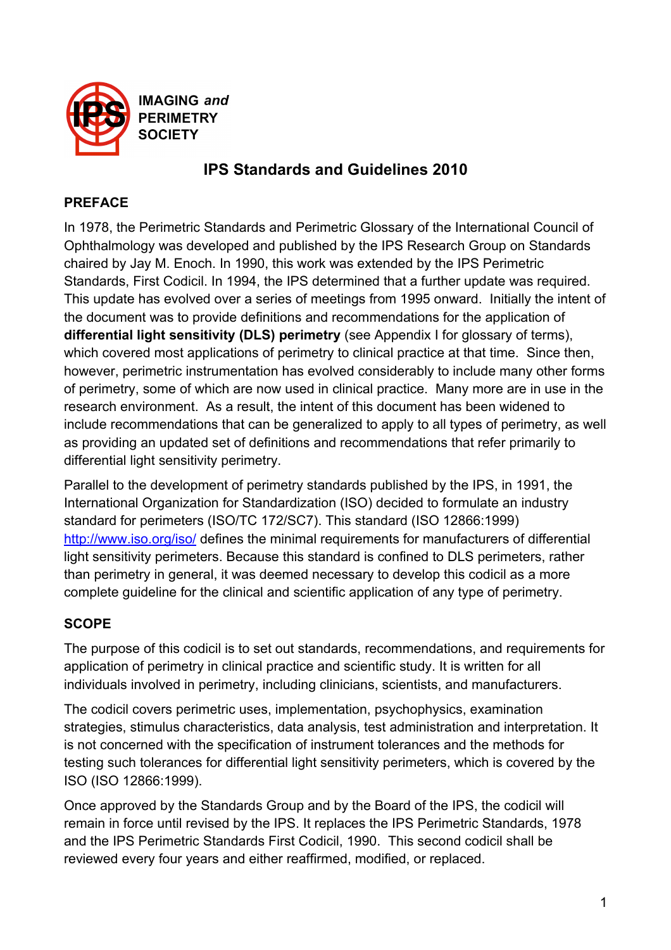

**IMAGING and PERIMETRY SOCIETY** 

# **IPS Standards and Guidelines 2010**

# **PREFACE**

In 1978, the Perimetric Standards and Perimetric Glossary of the International Council of Ophthalmology was developed and published by the IPS Research Group on Standards chaired by Jay M. Enoch. In 1990, this work was extended by the IPS Perimetric Standards, First Codicil. In 1994, the IPS determined that a further update was required. This update has evolved over a series of meetings from 1995 onward. Initially the intent of the document was to provide definitions and recommendations for the application of **differential light sensitivity (DLS) perimetry** (see Appendix I for glossary of terms), which covered most applications of perimetry to clinical practice at that time. Since then, however, perimetric instrumentation has evolved considerably to include many other forms of perimetry, some of which are now used in clinical practice. Many more are in use in the research environment. As a result, the intent of this document has been widened to include recommendations that can be generalized to apply to all types of perimetry, as well as providing an updated set of definitions and recommendations that refer primarily to differential light sensitivity perimetry.

Parallel to the development of perimetry standards published by the IPS, in 1991, the International Organization for Standardization (ISO) decided to formulate an industry standard for perimeters (ISO/TC 172/SC7). This standard (ISO 12866:1999) http://www.iso.org/iso/ defines the minimal requirements for manufacturers of differential light sensitivity perimeters. Because this standard is confined to DLS perimeters, rather than perimetry in general, it was deemed necessary to develop this codicil as a more complete guideline for the clinical and scientific application of any type of perimetry.

# **SCOPE**

The purpose of this codicil is to set out standards, recommendations, and requirements for application of perimetry in clinical practice and scientific study. It is written for all individuals involved in perimetry, including clinicians, scientists, and manufacturers.

The codicil covers perimetric uses, implementation, psychophysics, examination strategies, stimulus characteristics, data analysis, test administration and interpretation. It is not concerned with the specification of instrument tolerances and the methods for testing such tolerances for differential light sensitivity perimeters, which is covered by the ISO (ISO 12866:1999).

Once approved by the Standards Group and by the Board of the IPS, the codicil will remain in force until revised by the IPS. It replaces the IPS Perimetric Standards, 1978 and the IPS Perimetric Standards First Codicil, 1990. This second codicil shall be reviewed every four years and either reaffirmed, modified, or replaced.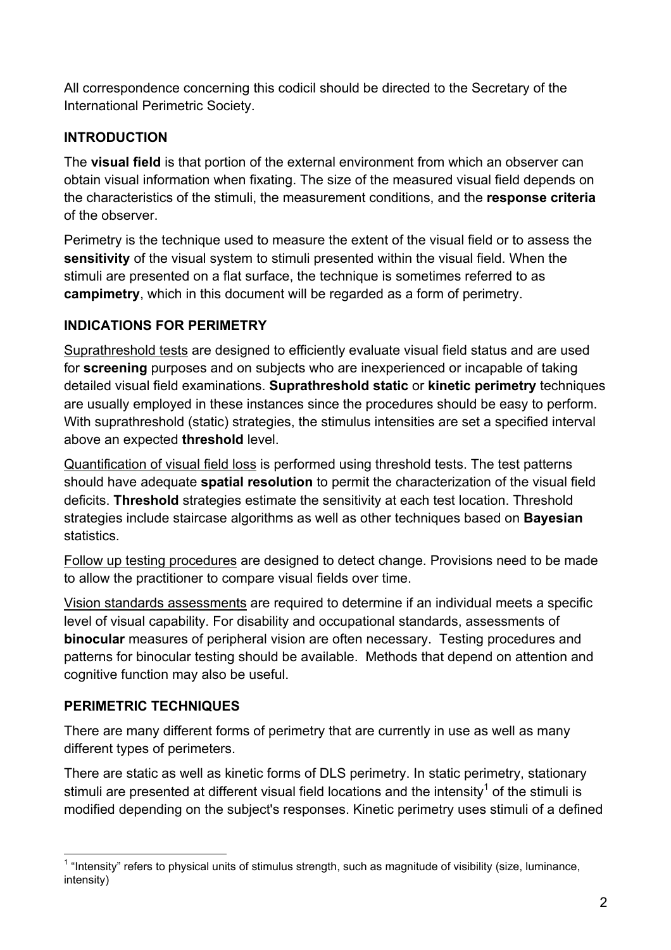All correspondence concerning this codicil should be directed to the Secretary of the International Perimetric Society.

# **INTRODUCTION**

The **visual field** is that portion of the external environment from which an observer can obtain visual information when fixating. The size of the measured visual field depends on the characteristics of the stimuli, the measurement conditions, and the **response criteria** of the observer.

Perimetry is the technique used to measure the extent of the visual field or to assess the **sensitivity** of the visual system to stimuli presented within the visual field. When the stimuli are presented on a flat surface, the technique is sometimes referred to as **campimetry**, which in this document will be regarded as a form of perimetry.

# **INDICATIONS FOR PERIMETRY**

Suprathreshold tests are designed to efficiently evaluate visual field status and are used for **screening** purposes and on subjects who are inexperienced or incapable of taking detailed visual field examinations. **Suprathreshold static** or **kinetic perimetry** techniques are usually employed in these instances since the procedures should be easy to perform. With suprathreshold (static) strategies, the stimulus intensities are set a specified interval above an expected **threshold** level.

Quantification of visual field loss is performed using threshold tests. The test patterns should have adequate **spatial resolution** to permit the characterization of the visual field deficits. **Threshold** strategies estimate the sensitivity at each test location. Threshold strategies include staircase algorithms as well as other techniques based on **Bayesian statistics** 

Follow up testing procedures are designed to detect change. Provisions need to be made to allow the practitioner to compare visual fields over time.

Vision standards assessments are required to determine if an individual meets a specific level of visual capability. For disability and occupational standards, assessments of **binocular** measures of peripheral vision are often necessary. Testing procedures and patterns for binocular testing should be available. Methods that depend on attention and cognitive function may also be useful.

# **PERIMETRIC TECHNIQUES**

There are many different forms of perimetry that are currently in use as well as many different types of perimeters.

There are static as well as kinetic forms of DLS perimetry. In static perimetry, stationary stimuli are presented at different visual field locations and the intensity<sup>1</sup> of the stimuli is modified depending on the subject's responses. Kinetic perimetry uses stimuli of a defined

1 "Intensity" refers to physical units of stimulus strength, such as magnitude of visibility (size, luminance, intensity)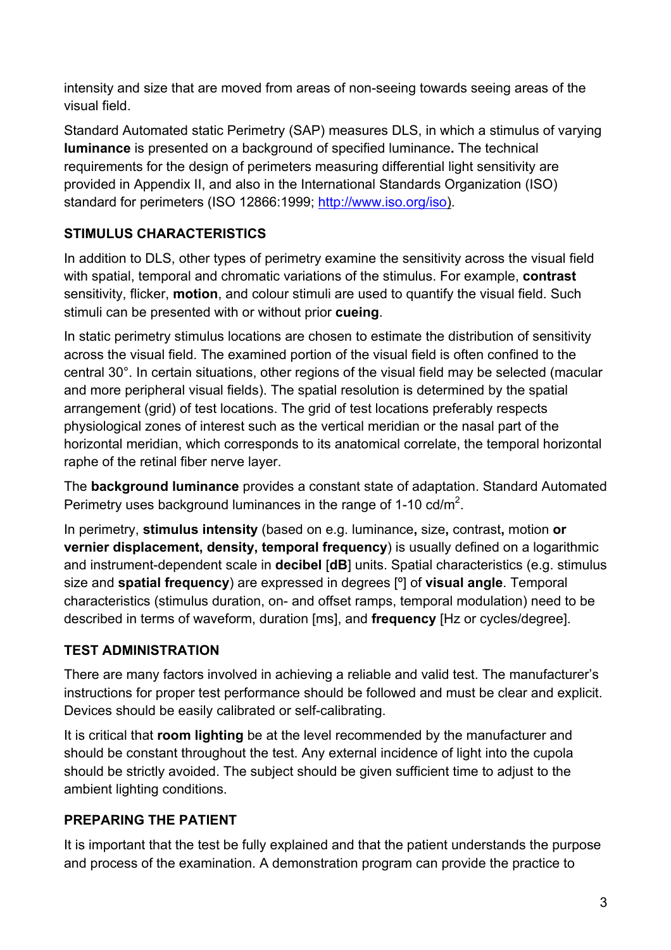intensity and size that are moved from areas of non-seeing towards seeing areas of the visual field.

Standard Automated static Perimetry (SAP) measures DLS, in which a stimulus of varying **luminance** is presented on a background of specified luminance**.** The technical requirements for the design of perimeters measuring differential light sensitivity are provided in Appendix II, and also in the International Standards Organization (ISO) standard for perimeters (ISO 12866:1999; http://www.iso.org/iso).

# **STIMULUS CHARACTERISTICS**

In addition to DLS, other types of perimetry examine the sensitivity across the visual field with spatial, temporal and chromatic variations of the stimulus. For example, **contrast** sensitivity, flicker, **motion**, and colour stimuli are used to quantify the visual field. Such stimuli can be presented with or without prior **cueing**.

In static perimetry stimulus locations are chosen to estimate the distribution of sensitivity across the visual field. The examined portion of the visual field is often confined to the central 30°. In certain situations, other regions of the visual field may be selected (macular and more peripheral visual fields). The spatial resolution is determined by the spatial arrangement (grid) of test locations. The grid of test locations preferably respects physiological zones of interest such as the vertical meridian or the nasal part of the horizontal meridian, which corresponds to its anatomical correlate, the temporal horizontal raphe of the retinal fiber nerve layer.

The **background luminance** provides a constant state of adaptation. Standard Automated Perimetry uses background luminances in the range of 1-10 cd/m<sup>2</sup>.

In perimetry, **stimulus intensity** (based on e.g. luminance**,** size**,** contrast**,** motion **or vernier displacement, density, temporal frequency**) is usually defined on a logarithmic and instrument-dependent scale in **decibel** [**dB**] units. Spatial characteristics (e.g. stimulus size and **spatial frequency**) are expressed in degrees [º] of **visual angle**. Temporal characteristics (stimulus duration, on- and offset ramps, temporal modulation) need to be described in terms of waveform, duration [ms], and **frequency** [Hz or cycles/degree].

# **TEST ADMINISTRATION**

There are many factors involved in achieving a reliable and valid test. The manufacturer's instructions for proper test performance should be followed and must be clear and explicit. Devices should be easily calibrated or self-calibrating.

It is critical that **room lighting** be at the level recommended by the manufacturer and should be constant throughout the test. Any external incidence of light into the cupola should be strictly avoided. The subject should be given sufficient time to adjust to the ambient lighting conditions.

# **PREPARING THE PATIENT**

It is important that the test be fully explained and that the patient understands the purpose and process of the examination. A demonstration program can provide the practice to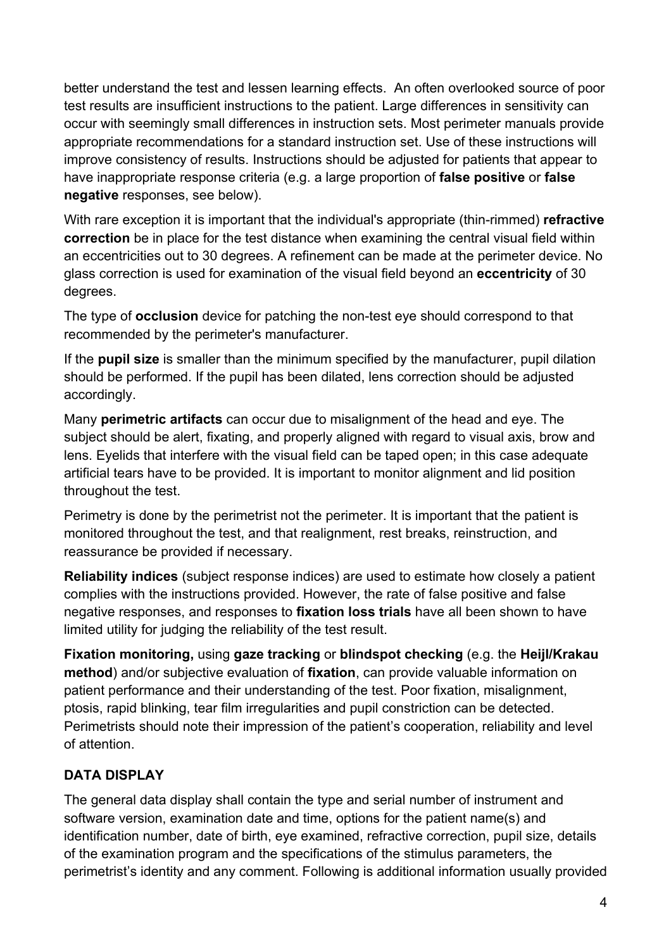better understand the test and lessen learning effects. An often overlooked source of poor test results are insufficient instructions to the patient. Large differences in sensitivity can occur with seemingly small differences in instruction sets. Most perimeter manuals provide appropriate recommendations for a standard instruction set. Use of these instructions will improve consistency of results. Instructions should be adjusted for patients that appear to have inappropriate response criteria (e.g. a large proportion of **false positive** or **false negative** responses, see below).

With rare exception it is important that the individual's appropriate (thin-rimmed) **refractive correction** be in place for the test distance when examining the central visual field within an eccentricities out to 30 degrees. A refinement can be made at the perimeter device. No glass correction is used for examination of the visual field beyond an **eccentricity** of 30 degrees.

The type of **occlusion** device for patching the non-test eye should correspond to that recommended by the perimeter's manufacturer.

If the **pupil size** is smaller than the minimum specified by the manufacturer, pupil dilation should be performed. If the pupil has been dilated, lens correction should be adjusted accordingly.

Many **perimetric artifacts** can occur due to misalignment of the head and eye. The subject should be alert, fixating, and properly aligned with regard to visual axis, brow and lens. Eyelids that interfere with the visual field can be taped open; in this case adequate artificial tears have to be provided. It is important to monitor alignment and lid position throughout the test.

Perimetry is done by the perimetrist not the perimeter. It is important that the patient is monitored throughout the test, and that realignment, rest breaks, reinstruction, and reassurance be provided if necessary.

**Reliability indices** (subject response indices) are used to estimate how closely a patient complies with the instructions provided. However, the rate of false positive and false negative responses, and responses to **fixation loss trials** have all been shown to have limited utility for judging the reliability of the test result.

**Fixation monitoring,** using **gaze tracking** or **blindspot checking** (e.g. the **Heijl/Krakau method**) and/or subjective evaluation of **fixation**, can provide valuable information on patient performance and their understanding of the test. Poor fixation, misalignment, ptosis, rapid blinking, tear film irregularities and pupil constriction can be detected. Perimetrists should note their impression of the patient's cooperation, reliability and level of attention.

# **DATA DISPLAY**

The general data display shall contain the type and serial number of instrument and software version, examination date and time, options for the patient name(s) and identification number, date of birth, eye examined, refractive correction, pupil size, details of the examination program and the specifications of the stimulus parameters, the perimetrist's identity and any comment. Following is additional information usually provided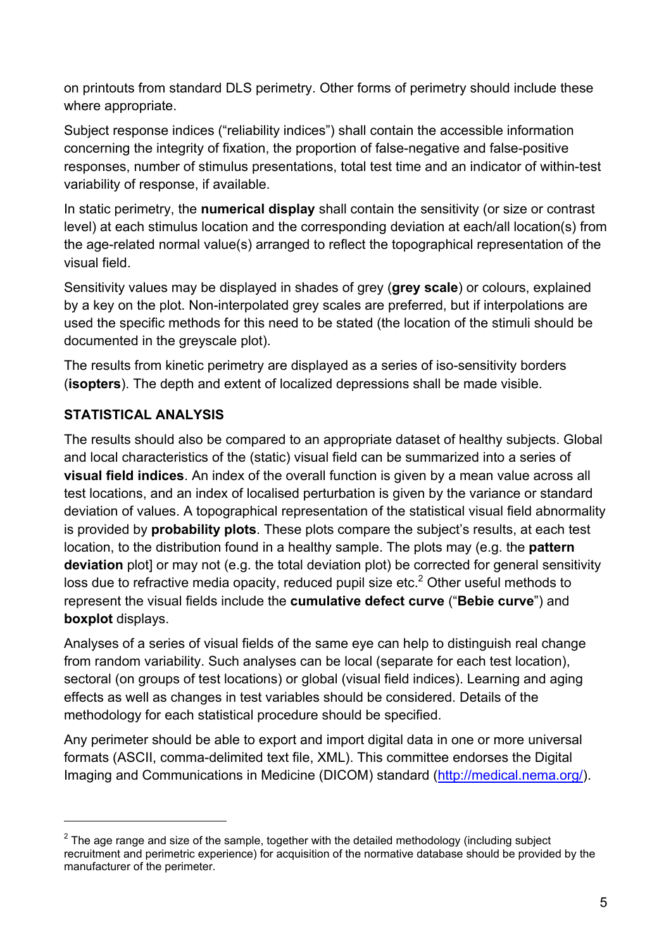on printouts from standard DLS perimetry. Other forms of perimetry should include these where appropriate.

Subject response indices ("reliability indices") shall contain the accessible information concerning the integrity of fixation, the proportion of false-negative and false-positive responses, number of stimulus presentations, total test time and an indicator of within-test variability of response, if available.

In static perimetry, the **numerical display** shall contain the sensitivity (or size or contrast level) at each stimulus location and the corresponding deviation at each/all location(s) from the age-related normal value(s) arranged to reflect the topographical representation of the visual field.

Sensitivity values may be displayed in shades of grey (**grey scale**) or colours, explained by a key on the plot. Non-interpolated grey scales are preferred, but if interpolations are used the specific methods for this need to be stated (the location of the stimuli should be documented in the greyscale plot).

The results from kinetic perimetry are displayed as a series of iso-sensitivity borders (**isopters**). The depth and extent of localized depressions shall be made visible.

## **STATISTICAL ANALYSIS**

 $\overline{a}$ 

The results should also be compared to an appropriate dataset of healthy subjects. Global and local characteristics of the (static) visual field can be summarized into a series of **visual field indices**. An index of the overall function is given by a mean value across all test locations, and an index of localised perturbation is given by the variance or standard deviation of values. A topographical representation of the statistical visual field abnormality is provided by **probability plots**. These plots compare the subject's results, at each test location, to the distribution found in a healthy sample. The plots may (e.g. the **pattern deviation** plot] or may not (e.g. the total deviation plot) be corrected for general sensitivity loss due to refractive media opacity, reduced pupil size etc. $<sup>2</sup>$  Other useful methods to</sup> represent the visual fields include the **cumulative defect curve** ("**Bebie curve**") and **boxplot** displays.

Analyses of a series of visual fields of the same eye can help to distinguish real change from random variability. Such analyses can be local (separate for each test location), sectoral (on groups of test locations) or global (visual field indices). Learning and aging effects as well as changes in test variables should be considered. Details of the methodology for each statistical procedure should be specified.

Any perimeter should be able to export and import digital data in one or more universal formats (ASCII, comma-delimited text file, XML). This committee endorses the Digital Imaging and Communications in Medicine (DICOM) standard (http://medical.nema.org/).

 $2$  The age range and size of the sample, together with the detailed methodology (including subject recruitment and perimetric experience) for acquisition of the normative database should be provided by the manufacturer of the perimeter.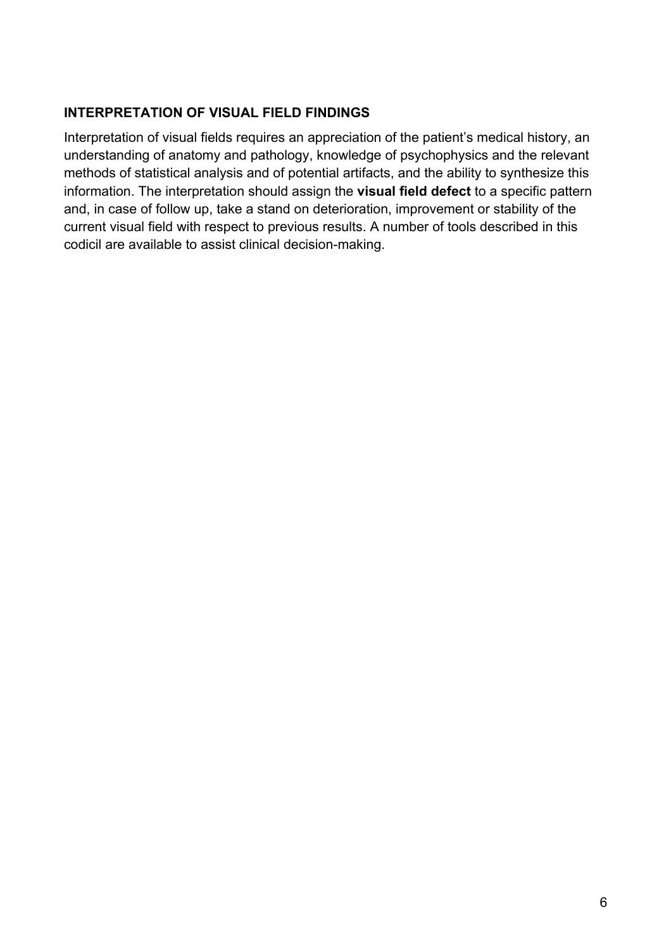### **INTERPRETATION OF VISUAL FIELD FINDINGS**

Interpretation of visual fields requires an appreciation of the patient's medical history, an understanding of anatomy and pathology, knowledge of psychophysics and the relevant methods of statistical analysis and of potential artifacts, and the ability to synthesize this information. The interpretation should assign the **visual field defect** to a specific pattern and, in case of follow up, take a stand on deterioration, improvement or stability of the current visual field with respect to previous results. A number of tools described in this codicil are available to assist clinical decision-making.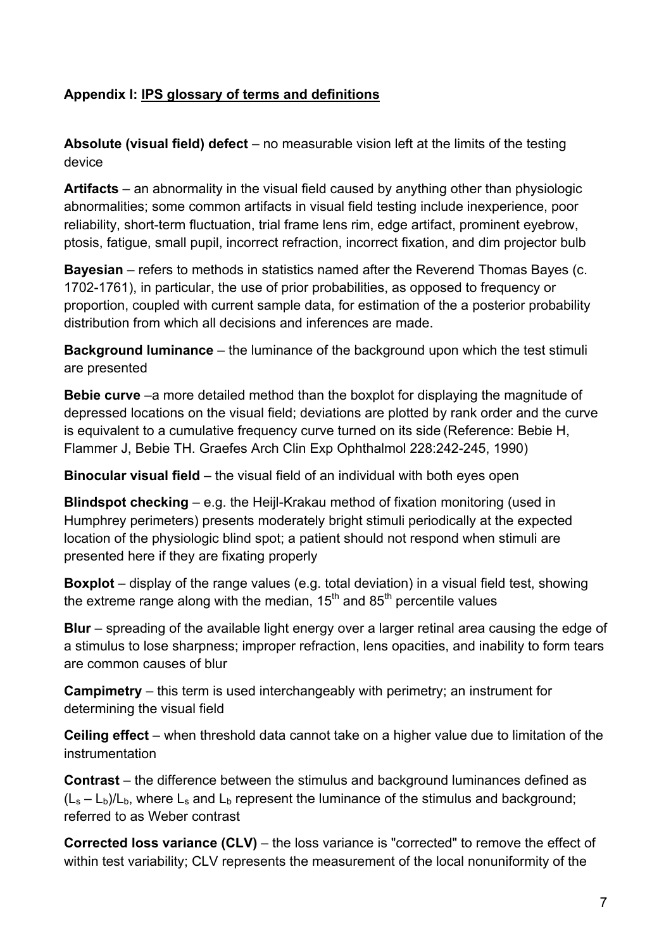### **Appendix I: IPS glossary of terms and definitions**

**Absolute (visual field) defect** – no measurable vision left at the limits of the testing device

**Artifacts** – an abnormality in the visual field caused by anything other than physiologic abnormalities; some common artifacts in visual field testing include inexperience, poor reliability, short-term fluctuation, trial frame lens rim, edge artifact, prominent eyebrow, ptosis, fatigue, small pupil, incorrect refraction, incorrect fixation, and dim projector bulb

**Bayesian** – refers to methods in statistics named after the Reverend Thomas Bayes (c. 1702-1761), in particular, the use of prior probabilities, as opposed to frequency or proportion, coupled with current sample data, for estimation of the a posterior probability distribution from which all decisions and inferences are made.

**Background luminance** – the luminance of the background upon which the test stimuli are presented

**Bebie curve** –a more detailed method than the boxplot for displaying the magnitude of depressed locations on the visual field; deviations are plotted by rank order and the curve is equivalent to a cumulative frequency curve turned on its side (Reference: Bebie H, Flammer J, Bebie TH. Graefes Arch Clin Exp Ophthalmol 228:242-245, 1990)

**Binocular visual field** – the visual field of an individual with both eyes open

**Blindspot checking** – e.g. the Heijl-Krakau method of fixation monitoring (used in Humphrey perimeters) presents moderately bright stimuli periodically at the expected location of the physiologic blind spot; a patient should not respond when stimuli are presented here if they are fixating properly

**Boxplot** – display of the range values (e.g. total deviation) in a visual field test, showing the extreme range along with the median,  $15<sup>th</sup>$  and  $85<sup>th</sup>$  percentile values

**Blur** – spreading of the available light energy over a larger retinal area causing the edge of a stimulus to lose sharpness; improper refraction, lens opacities, and inability to form tears are common causes of blur

**Campimetry** – this term is used interchangeably with perimetry; an instrument for determining the visual field

**Ceiling effect** – when threshold data cannot take on a higher value due to limitation of the instrumentation

**Contrast** – the difference between the stimulus and background luminances defined as  $(L_s - L_b)/L_b$ , where L<sub>s</sub> and L<sub>b</sub> represent the luminance of the stimulus and background; referred to as Weber contrast

**Corrected loss variance (CLV)** – the loss variance is "corrected" to remove the effect of within test variability; CLV represents the measurement of the local nonuniformity of the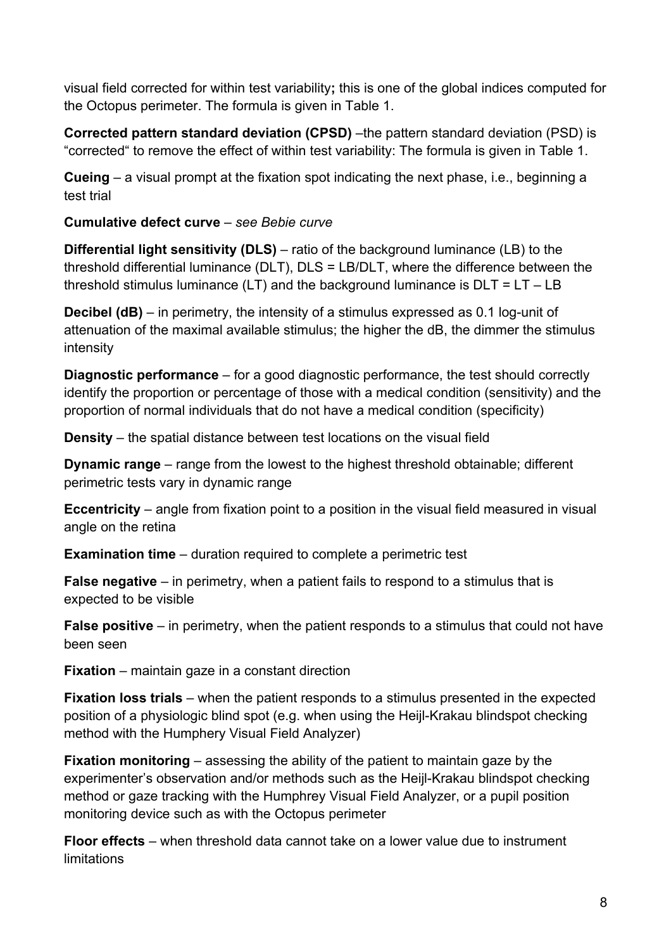visual field corrected for within test variability**;** this is one of the global indices computed for the Octopus perimeter. The formula is given in Table 1.

**Corrected pattern standard deviation (CPSD)** –the pattern standard deviation (PSD) is "corrected" to remove the effect of within test variability: The formula is given in Table 1.

**Cueing** – a visual prompt at the fixation spot indicating the next phase, i.e., beginning a test trial

**Cumulative defect curve** – *see Bebie curve*

**Differential light sensitivity (DLS)** – ratio of the background luminance (LB) to the threshold differential luminance (DLT), DLS = LB/DLT, where the difference between the threshold stimulus luminance  $(LT)$  and the background luminance is  $DLT = LT - LB$ 

**Decibel (dB)** – in perimetry, the intensity of a stimulus expressed as 0.1 log-unit of attenuation of the maximal available stimulus; the higher the dB, the dimmer the stimulus intensity

**Diagnostic performance** – for a good diagnostic performance, the test should correctly identify the proportion or percentage of those with a medical condition (sensitivity) and the proportion of normal individuals that do not have a medical condition (specificity)

**Density** – the spatial distance between test locations on the visual field

**Dynamic range** – range from the lowest to the highest threshold obtainable; different perimetric tests vary in dynamic range

**Eccentricity** – angle from fixation point to a position in the visual field measured in visual angle on the retina

**Examination time** – duration required to complete a perimetric test

**False negative** – in perimetry, when a patient fails to respond to a stimulus that is expected to be visible

**False positive** – in perimetry, when the patient responds to a stimulus that could not have been seen

**Fixation** – maintain gaze in a constant direction

**Fixation loss trials** – when the patient responds to a stimulus presented in the expected position of a physiologic blind spot (e.g. when using the Heijl-Krakau blindspot checking method with the Humphery Visual Field Analyzer)

**Fixation monitoring** – assessing the ability of the patient to maintain gaze by the experimenter's observation and/or methods such as the Heijl-Krakau blindspot checking method or gaze tracking with the Humphrey Visual Field Analyzer, or a pupil position monitoring device such as with the Octopus perimeter

**Floor effects** – when threshold data cannot take on a lower value due to instrument limitations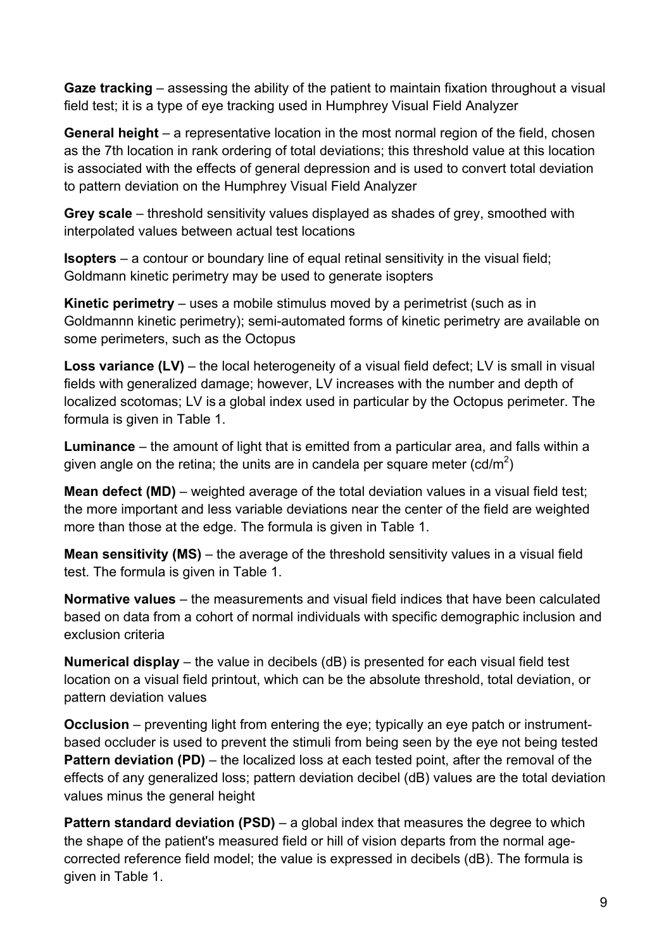**Gaze tracking** – assessing the ability of the patient to maintain fixation throughout a visual field test; it is a type of eye tracking used in Humphrey Visual Field Analyzer

**General height** – a representative location in the most normal region of the field, chosen as the 7th location in rank ordering of total deviations; this threshold value at this location is associated with the effects of general depression and is used to convert total deviation to pattern deviation on the Humphrey Visual Field Analyzer

**Grey scale** – threshold sensitivity values displayed as shades of grey, smoothed with interpolated values between actual test locations

**Isopters** – a contour or boundary line of equal retinal sensitivity in the visual field; Goldmann kinetic perimetry may be used to generate isopters

**Kinetic perimetry** – uses a mobile stimulus moved by a perimetrist (such as in Goldmannn kinetic perimetry); semi-automated forms of kinetic perimetry are available on some perimeters, such as the Octopus

**Loss variance (LV)** – the local heterogeneity of a visual field defect; LV is small in visual fields with generalized damage; however, LV increases with the number and depth of localized scotomas; LV is a global index used in particular by the Octopus perimeter. The formula is given in Table 1.

**Luminance** – the amount of light that is emitted from a particular area, and falls within a given angle on the retina; the units are in candela per square meter (cd/m<sup>2</sup>)

**Mean defect (MD)** – weighted average of the total deviation values in a visual field test; the more important and less variable deviations near the center of the field are weighted more than those at the edge. The formula is given in Table 1.

**Mean sensitivity (MS)** – the average of the threshold sensitivity values in a visual field test. The formula is given in Table 1.

**Normative values** – the measurements and visual field indices that have been calculated based on data from a cohort of normal individuals with specific demographic inclusion and exclusion criteria

**Numerical display** – the value in decibels (dB) is presented for each visual field test location on a visual field printout, which can be the absolute threshold, total deviation, or pattern deviation values

**Occlusion** – preventing light from entering the eye; typically an eye patch or instrumentbased occluder is used to prevent the stimuli from being seen by the eye not being tested **Pattern deviation (PD)** – the localized loss at each tested point, after the removal of the effects of any generalized loss; pattern deviation decibel (dB) values are the total deviation values minus the general height

**Pattern standard deviation (PSD)** – a global index that measures the degree to which the shape of the patient's measured field or hill of vision departs from the normal agecorrected reference field model; the value is expressed in decibels (dB). The formula is given in Table 1.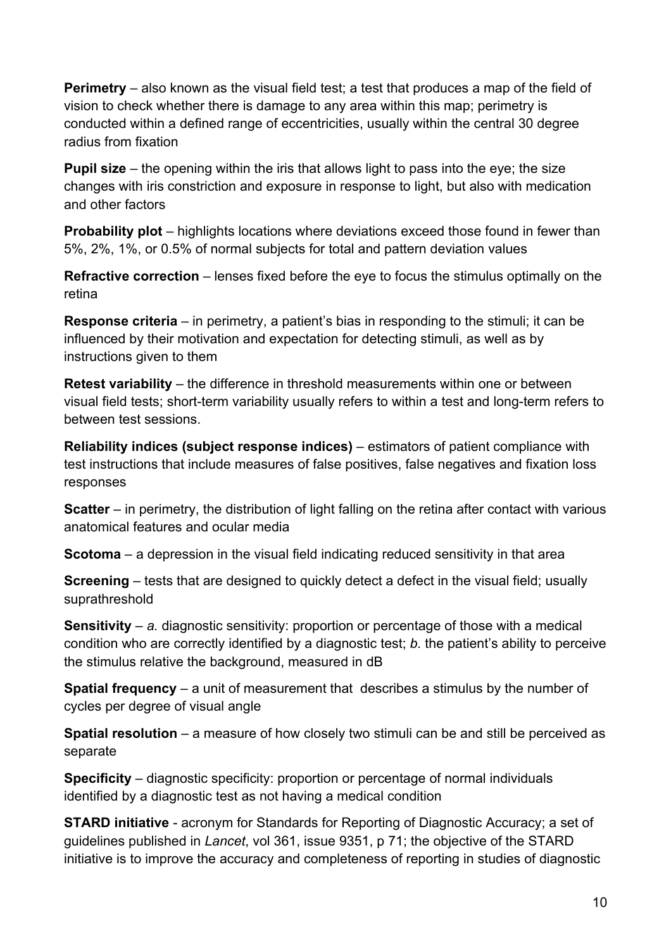**Perimetry** – also known as the visual field test; a test that produces a map of the field of vision to check whether there is damage to any area within this map; perimetry is conducted within a defined range of eccentricities, usually within the central 30 degree radius from fixation

**Pupil size** – the opening within the iris that allows light to pass into the eye; the size changes with iris constriction and exposure in response to light, but also with medication and other factors

**Probability plot** – highlights locations where deviations exceed those found in fewer than 5%, 2%, 1%, or 0.5% of normal subjects for total and pattern deviation values

**Refractive correction** – lenses fixed before the eye to focus the stimulus optimally on the retina

**Response criteria** – in perimetry, a patient's bias in responding to the stimuli; it can be influenced by their motivation and expectation for detecting stimuli, as well as by instructions given to them

**Retest variability** – the difference in threshold measurements within one or between visual field tests; short-term variability usually refers to within a test and long-term refers to between test sessions.

**Reliability indices (subject response indices)** – estimators of patient compliance with test instructions that include measures of false positives, false negatives and fixation loss responses

**Scatter** – in perimetry, the distribution of light falling on the retina after contact with various anatomical features and ocular media

**Scotoma** – a depression in the visual field indicating reduced sensitivity in that area

**Screening** – tests that are designed to quickly detect a defect in the visual field; usually suprathreshold

**Sensitivity** – *a.* diagnostic sensitivity: proportion or percentage of those with a medical condition who are correctly identified by a diagnostic test; *b.* the patient's ability to perceive the stimulus relative the background, measured in dB

**Spatial frequency** – a unit of measurement that describes a stimulus by the number of cycles per degree of visual angle

**Spatial resolution** – a measure of how closely two stimuli can be and still be perceived as separate

**Specificity** – diagnostic specificity: proportion or percentage of normal individuals identified by a diagnostic test as not having a medical condition

**STARD initiative** - acronym for Standards for Reporting of Diagnostic Accuracy; a set of guidelines published in *Lancet*, vol 361, issue 9351, p 71; the objective of the STARD initiative is to improve the accuracy and completeness of reporting in studies of diagnostic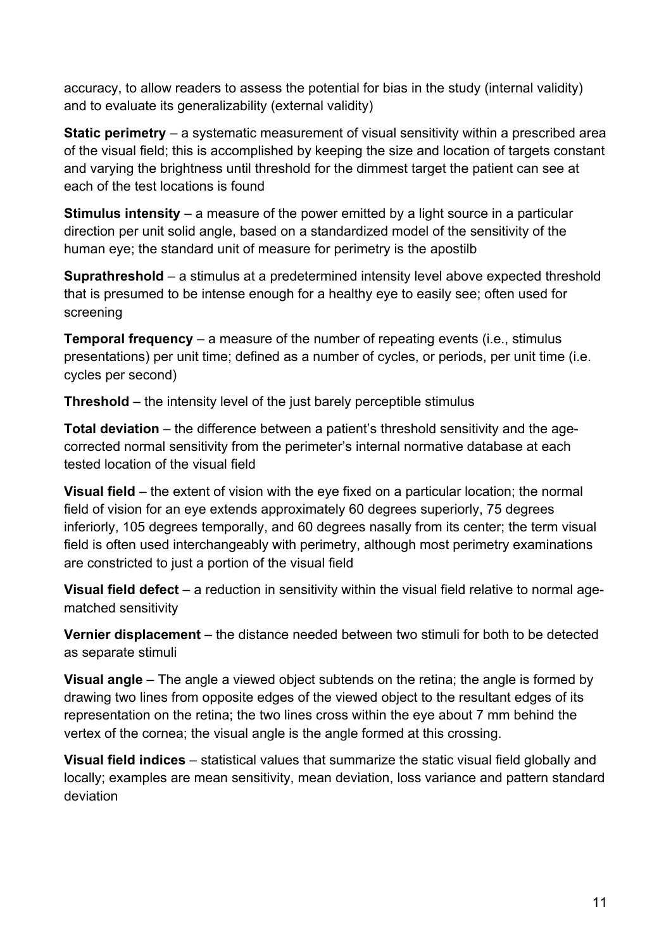accuracy, to allow readers to assess the potential for bias in the study (internal validity) and to evaluate its generalizability (external validity)

**Static perimetry** – a systematic measurement of visual sensitivity within a prescribed area of the visual field; this is accomplished by keeping the size and location of targets constant and varying the brightness until threshold for the dimmest target the patient can see at each of the test locations is found

**Stimulus intensity** – a measure of the power emitted by a light source in a particular direction per unit solid angle, based on a standardized model of the sensitivity of the human eye; the standard unit of measure for perimetry is the apostilb

**Suprathreshold** – a stimulus at a predetermined intensity level above expected threshold that is presumed to be intense enough for a healthy eye to easily see; often used for screening

**Temporal frequency** – a measure of the number of repeating events (i.e., stimulus presentations) per unit time; defined as a number of cycles, or periods, per unit time (i.e. cycles per second)

**Threshold** – the intensity level of the just barely perceptible stimulus

**Total deviation** – the difference between a patient's threshold sensitivity and the agecorrected normal sensitivity from the perimeter's internal normative database at each tested location of the visual field

**Visual field** – the extent of vision with the eye fixed on a particular location; the normal field of vision for an eye extends approximately 60 degrees superiorly, 75 degrees inferiorly, 105 degrees temporally, and 60 degrees nasally from its center; the term visual field is often used interchangeably with perimetry, although most perimetry examinations are constricted to just a portion of the visual field

**Visual field defect** – a reduction in sensitivity within the visual field relative to normal agematched sensitivity

**Vernier displacement** – the distance needed between two stimuli for both to be detected as separate stimuli

**Visual angle** – The angle a viewed object subtends on the retina; the angle is formed by drawing two lines from opposite edges of the viewed object to the resultant edges of its representation on the retina; the two lines cross within the eye about 7 mm behind the vertex of the cornea; the visual angle is the angle formed at this crossing.

**Visual field indices** – statistical values that summarize the static visual field globally and locally; examples are mean sensitivity, mean deviation, loss variance and pattern standard deviation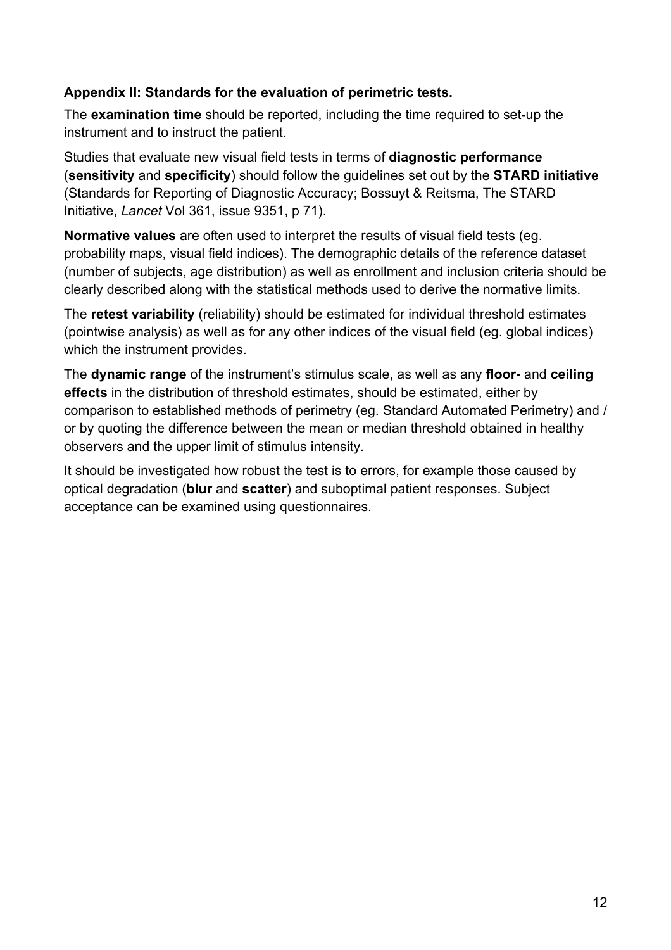### **Appendix II: Standards for the evaluation of perimetric tests.**

The **examination time** should be reported, including the time required to set-up the instrument and to instruct the patient.

Studies that evaluate new visual field tests in terms of **diagnostic performance** (**sensitivity** and **specificity**) should follow the guidelines set out by the **STARD initiative** (Standards for Reporting of Diagnostic Accuracy; Bossuyt & Reitsma, The STARD Initiative, *Lancet* Vol 361, issue 9351, p 71).

**Normative values** are often used to interpret the results of visual field tests (eg. probability maps, visual field indices). The demographic details of the reference dataset (number of subjects, age distribution) as well as enrollment and inclusion criteria should be clearly described along with the statistical methods used to derive the normative limits.

The **retest variability** (reliability) should be estimated for individual threshold estimates (pointwise analysis) as well as for any other indices of the visual field (eg. global indices) which the instrument provides.

The **dynamic range** of the instrument's stimulus scale, as well as any **floor-** and **ceiling effects** in the distribution of threshold estimates, should be estimated, either by comparison to established methods of perimetry (eg. Standard Automated Perimetry) and / or by quoting the difference between the mean or median threshold obtained in healthy observers and the upper limit of stimulus intensity.

It should be investigated how robust the test is to errors, for example those caused by optical degradation (**blur** and **scatter**) and suboptimal patient responses. Subject acceptance can be examined using questionnaires.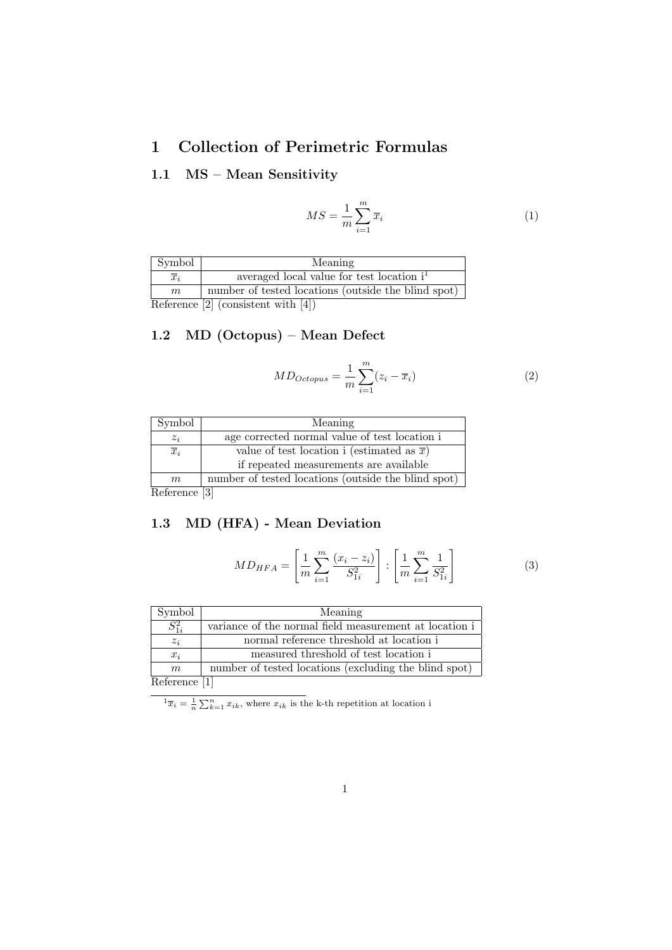## 1 Collection of Perimetric Formulas

#### 1.1 MS – Mean Sensitivity

$$
MS = \frac{1}{m} \sum_{i=1}^{m} \overline{x}_i
$$
\n<sup>(1)</sup>

| Symbol           | Meaning                                               |
|------------------|-------------------------------------------------------|
| $\overline{x}_i$ | averaged local value for test location i <sup>1</sup> |
| m                | number of tested locations (outside the blind spot)   |
|                  | Reference $[2]$ (consistent with $[4]$ )              |

#### 1.2 MD (Octopus) – Mean Defect

$$
MD_{Octopus} = \frac{1}{m} \sum_{i=1}^{m} (z_i - \overline{x}_i)
$$
 (2)

| Symbol           | Meaning                                             |
|------------------|-----------------------------------------------------|
| $z_i$            | age corrected normal value of test location i       |
| $\overline{x}_i$ | value of test location i (estimated as $\bar{x}$ )  |
|                  | if repeated measurements are available              |
| m                | number of tested locations (outside the blind spot) |
| Reference [3]    |                                                     |

Reference [3]

#### 1.3 MD (HFA) - Mean Deviation

$$
MD_{HFA} = \left[\frac{1}{m} \sum_{i=1}^{m} \frac{(x_i - z_i)}{S_{1i}^2}\right] : \left[\frac{1}{m} \sum_{i=1}^{m} \frac{1}{S_{1i}^2}\right]
$$
(3)

| Symbol        | Meaning                                                |
|---------------|--------------------------------------------------------|
| $S_{1i}^2$    | variance of the normal field measurement at location i |
| $z_i$         | normal reference threshold at location i               |
| $x_i$         | measured threshold of test location i                  |
| m             | number of tested locations (excluding the blind spot)  |
| Deference [1] |                                                        |

Reference [1]

 ${}^{1}\overline{x}_{i} = \frac{1}{n} \sum_{k=1}^{n} x_{ik}$ , where  $x_{ik}$  is the k-th repetition at location i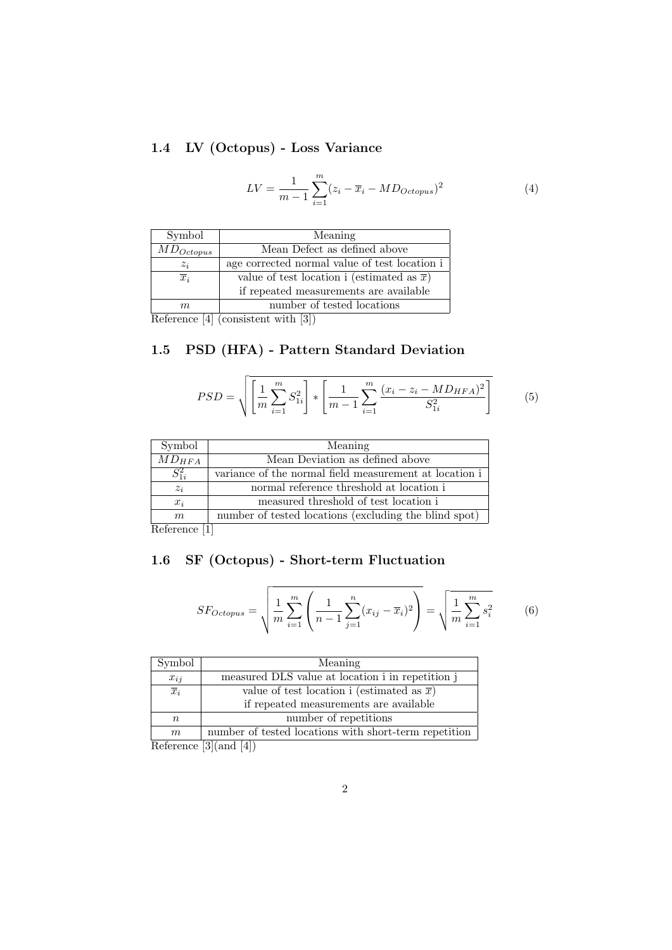### 1.4 LV (Octopus) - Loss Variance

$$
LV = \frac{1}{m-1} \sum_{i=1}^{m} (z_i - \overline{x}_i - MD_{Octopus})^2
$$
 (4)

| Symbol           | Meaning                                            |
|------------------|----------------------------------------------------|
| $MD_{Octopus}$   | Mean Defect as defined above                       |
| $z_i$            | age corrected normal value of test location is     |
| $\overline{x}_i$ | value of test location i (estimated as $\bar{x}$ ) |
|                  | if repeated measurements are available             |
| $m\,$            | number of tested locations                         |
| .                |                                                    |

Reference [4] (consistent with [3])

### 1.5 PSD (HFA) - Pattern Standard Deviation

$$
PSD = \sqrt{\left[\frac{1}{m}\sum_{i=1}^{m} S_{1i}^{2}\right] * \left[\frac{1}{m-1}\sum_{i=1}^{m} \frac{(x_{i} - z_{i} - MD_{HFA})^{2}}{S_{1i}^{2}}\right]}
$$
(5)

| Symbol     | Meaning                                                |
|------------|--------------------------------------------------------|
| $MD_{HFA}$ | Mean Deviation as defined above                        |
| $S_{1i}^2$ | variance of the normal field measurement at location i |
| $z_i$      | normal reference threshold at location i               |
| $x_i$      | measured threshold of test location i                  |
| m          | number of tested locations (excluding the blind spot)  |
|            | <b>C.A.</b>                                            |

Reference [1]

### 1.6 SF (Octopus) - Short-term Fluctuation

$$
SF_{Octopus} = \sqrt{\frac{1}{m} \sum_{i=1}^{m} \left( \frac{1}{n-1} \sum_{j=1}^{n} (x_{ij} - \overline{x}_i)^2 \right)} = \sqrt{\frac{1}{m} \sum_{i=1}^{m} s_i^2}
$$
(6)

| Symbol           | Meaning                                               |
|------------------|-------------------------------------------------------|
| $x_{ij}$         | measured DLS value at location i in repetition j      |
| $\overline{x}_i$ | value of test location i (estimated as $\bar{x}$ )    |
|                  | if repeated measurements are available                |
| $\boldsymbol{n}$ | number of repetitions                                 |
| m                | number of tested locations with short-term repetition |
|                  | Boforoneo [3] (and [4])                               |

Reference [3](and [4])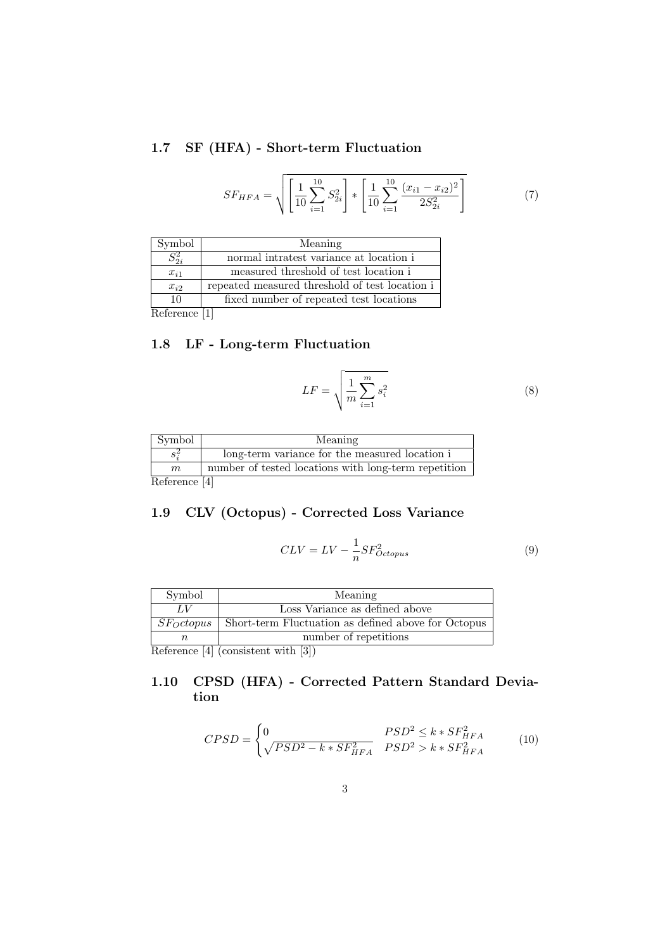### 1.7 SF (HFA) - Short-term Fluctuation

$$
SF_{HFA} = \sqrt{\left[\frac{1}{10}\sum_{i=1}^{10} S_{2i}^2\right] * \left[\frac{1}{10}\sum_{i=1}^{10} \frac{(x_{i1} - x_{i2})^2}{2S_{2i}^2}\right]}
$$
(7)

| Symbol        | Meaning                                        |
|---------------|------------------------------------------------|
| $S_{2i}^2$    | normal intratest variance at location i        |
| $x_{i1}$      | measured threshold of test location i          |
| $x_{i2}$      | repeated measured threshold of test location i |
| 10            | fixed number of repeated test locations        |
| Roferonce [1] |                                                |

Reference [1]

### 1.8 LF - Long-term Fluctuation

$$
LF = \sqrt{\frac{1}{m} \sum_{i=1}^{m} s_i^2}
$$
 (8)

| Symbol        | Meaning                                              |
|---------------|------------------------------------------------------|
| $s^2$         | long-term variance for the measured location i       |
| m             | number of tested locations with long-term repetition |
| Reference [4] |                                                      |

Reference [4]

#### 1.9 CLV (Octopus) - Corrected Loss Variance

$$
CLV = LV - \frac{1}{n} SF_{Octopus}^2 \tag{9}
$$

| Symbol         | Meaning                                                                                                            |
|----------------|--------------------------------------------------------------------------------------------------------------------|
|                | Loss Variance as defined above                                                                                     |
| $SF_{O}ctopus$ | Short-term Fluctuation as defined above for Octopus                                                                |
|                | number of repetitions                                                                                              |
|                | $\mathbf{D}$ for $\mathbf{L}$ for $\mathbf{L}$ for $\mathbf{L}$ for $\mathbf{L}$ for $\mathbf{L}$ for $\mathbf{L}$ |

Reference [4] (consistent with [3])

#### 1.10 CPSD (HFA) - Corrected Pattern Standard Deviation

$$
CPSD = \begin{cases} 0 & PSD^2 \le k * SF_{HFA}^2 \\ \sqrt{PSD^2 - k * SF_{HFA}^2} & PSD^2 > k * SF_{HFA}^2 \end{cases}
$$
(10)